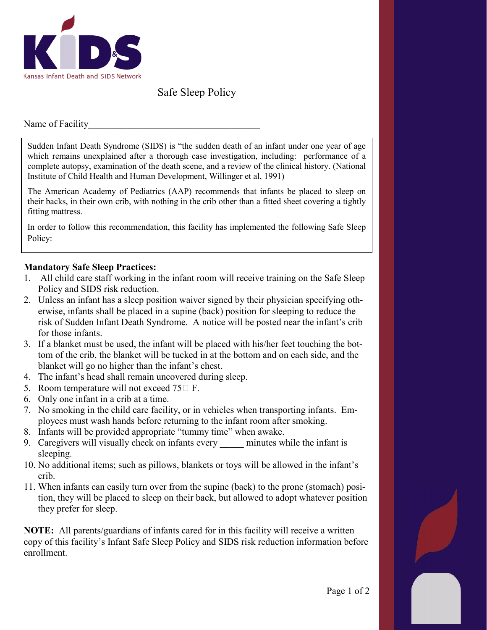

## Safe Sleep Policy

Name of Facility

Sudden Infant Death Syndrome (SIDS) is "the sudden death of an infant under one year of age which remains unexplained after a thorough case investigation, including: performance of a complete autopsy, examination of the death scene, and a review of the clinical history. (National Institute of Child Health and Human Development, Willinger et al, 1991)

The American Academy of Pediatrics (AAP) recommends that infants be placed to sleep on their backs, in their own crib, with nothing in the crib other than a fitted sheet covering a tightly fitting mattress.

In order to follow this recommendation, this facility has implemented the following Safe Sleep Policy:

## **Mandatory Safe Sleep Practices:**

- 1. All child care staff working in the infant room will receive training on the Safe Sleep Policy and SIDS risk reduction.
- 2. Unless an infant has a sleep position waiver signed by their physician specifying otherwise, infants shall be placed in a supine (back) position for sleeping to reduce the risk of Sudden Infant Death Syndrome. A notice will be posted near the infant's crib for those infants.
- 3. If a blanket must be used, the infant will be placed with his/her feet touching the bottom of the crib, the blanket will be tucked in at the bottom and on each side, and the blanket will go no higher than the infant's chest.
- 4. The infant's head shall remain uncovered during sleep.
- 5. Room temperature will not exceed  $75\Box$  F.
- 6. Only one infant in a crib at a time.
- 7. No smoking in the child care facility, or in vehicles when transporting infants. Employees must wash hands before returning to the infant room after smoking.
- 8. Infants will be provided appropriate "tummy time" when awake.
- 9. Caregivers will visually check on infants every minutes while the infant is sleeping.
- 10. No additional items; such as pillows, blankets or toys will be allowed in the infant's crib.
- 11. When infants can easily turn over from the supine (back) to the prone (stomach) position, they will be placed to sleep on their back, but allowed to adopt whatever position they prefer for sleep.

**NOTE:** All parents/guardians of infants cared for in this facility will receive a written copy of this facility's Infant Safe Sleep Policy and SIDS risk reduction information before enrollment.